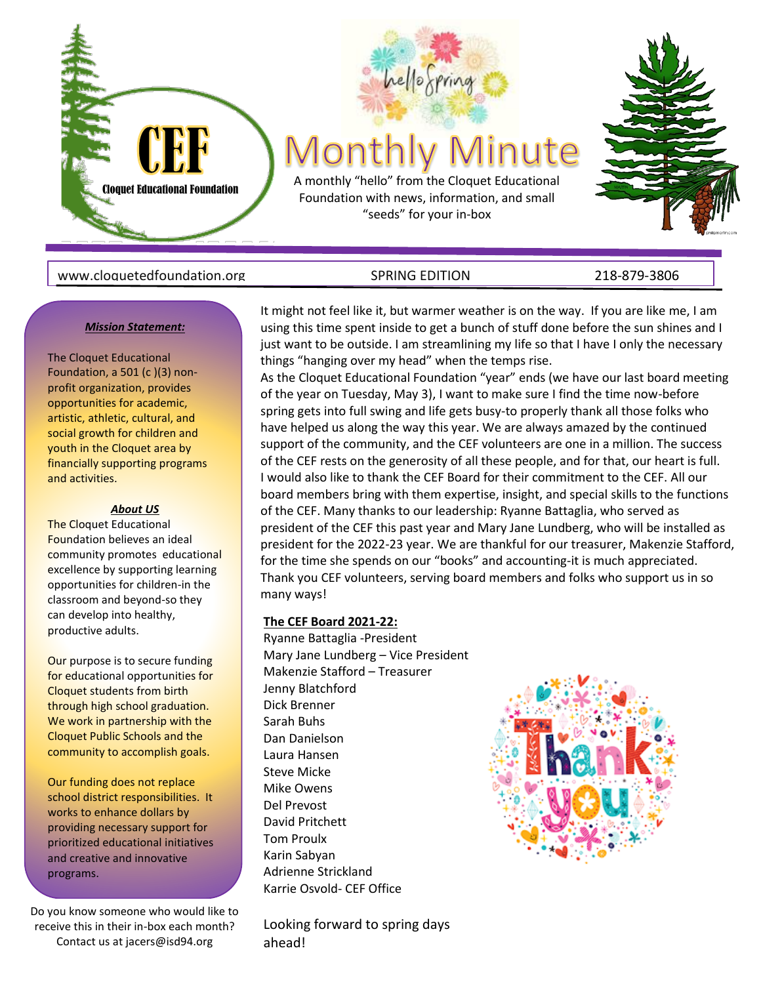

#### www.cloquetedfoundation.org GRING EDITION SPRING EDITION SALL 218-879-3806

#### *Mission Statement:*

The Cloquet Educational Foundation, a 501 (c)(3) nonprofit organization, provides opportunities for academic, artistic, athletic, cultural, and social growth for children and youth in the Cloquet area by financially supporting programs and activities.

#### *About US*

The Cloquet Educational Foundation believes an ideal community promotes educational excellence by supporting learning opportunities for children-in the classroom and beyond-so they can develop into healthy, productive adults.

Our purpose is to secure funding for educational opportunities for Cloquet students from birth through high school graduation. We work in partnership with the Cloquet Public Schools and the community to accomplish goals.

Our funding does not replace school district responsibilities. It works to enhance dollars by providing necessary support for prioritized educational initiatives and creative and innovative programs.

Do you know someone who would like to receive this in their in-box each month? Contact us at jacers@isd94.org

It might not feel like it, but warmer weather is on the way. If you are like me, I am using this time spent inside to get a bunch of stuff done before the sun shines and I just want to be outside. I am streamlining my life so that I have I only the necessary things "hanging over my head" when the temps rise.

As the Cloquet Educational Foundation "year" ends (we have our last board meeting of the year on Tuesday, May 3), I want to make sure I find the time now-before spring gets into full swing and life gets busy-to properly thank all those folks who have helped us along the way this year. We are always amazed by the continued support of the community, and the CEF volunteers are one in a million. The success of the CEF rests on the generosity of all these people, and for that, our heart is full. I would also like to thank the CEF Board for their commitment to the CEF. All our board members bring with them expertise, insight, and special skills to the functions of the CEF. Many thanks to our leadership: Ryanne Battaglia, who served as president of the CEF this past year and Mary Jane Lundberg, who will be installed as president for the 2022-23 year. We are thankful for our treasurer, Makenzie Stafford, for the time she spends on our "books" and accounting-it is much appreciated. Thank you CEF volunteers, serving board members and folks who support us in so many ways!

#### **The CEF Board 2021-22:**

Ryanne Battaglia -President Mary Jane Lundberg – Vice President Makenzie Stafford – Treasurer Jenny Blatchford Dick Brenner Sarah Buhs Dan Danielson Laura Hansen Steve Micke Mike Owens Del Prevost David Pritchett Tom Proulx Karin Sabyan Adrienne Strickland Karrie Osvold- CEF Office

Looking forward to spring days ahead!